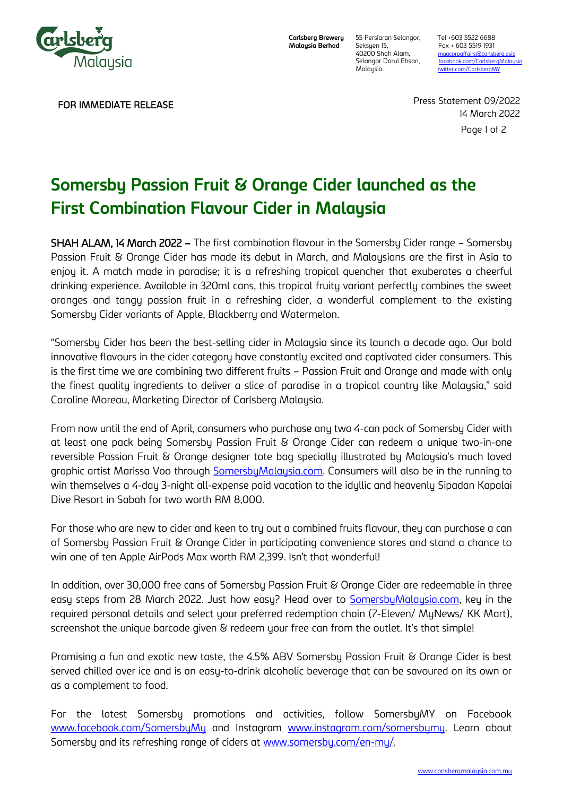

FOR IMMEDIATE RELEASE

**Carlsberg Brewery Malaysia Berhad**

Seksyen 15, Fax + 603 5519 1931<br>40200 Shah Alam, mugcorpaffairs@carlsb

55 Persiaran Selangor, Tel +603 5522 6688 40200 Shah Alam, mugcorpaffairs@carlsberg.asia<br>1991 Selangor Darul Ehsan, facebook.com/CarlsbergMalay Selangor Darul Ehsan, facebook.com/CarlsbergMalays<br>Malaysia. twitter.com/CarlsbergMY [twitter.com/CarlsbergMY](about:blank)

> Page 1 of 2 Press Statement 09/2022 14 March 2022

# **Somersby Passion Fruit & Orange Cider launched as the First Combination Flavour Cider in Malaysia**

SHAH ALAM, 14 March 2022 – The first combination flavour in the Somersby Cider range – Somersby Passion Fruit & Orange Cider has made its debut in March, and Malaysians are the first in Asia to enjoy it. A match made in paradise; it is a refreshing tropical quencher that exuberates a cheerful drinking experience. Available in 320ml cans, this tropical fruity variant perfectly combines the sweet oranges and tangy passion fruit in a refreshing cider, a wonderful complement to the existing Somersby Cider variants of Apple, Blackberry and Watermelon.

"Somersby Cider has been the best-selling cider in Malaysia since its launch a decade ago. Our bold innovative flavours in the cider category have constantly excited and captivated cider consumers. This is the first time we are combining two different fruits – Passion Fruit and Orange and made with only the finest quality ingredients to deliver a slice of paradise in a tropical country like Malaysia," said Caroline Moreau, Marketing Director of Carlsberg Malaysia.

From now until the end of April, consumers who purchase any two 4-can pack of Somersby Cider with at least one pack being Somersby Passion Fruit & Orange Cider can redeem a unique two-in-one reversible Passion Fruit & Orange designer tote bag specially illustrated by Malaysia's much loved graphic artist Marissa Voo through [SomersbyMalaysia.com.](https://somersbymalaysia.com/) Consumers will also be in the running to win themselves a 4-day 3-night all-expense paid vacation to the idyllic and heavenly Sipadan Kapalai Dive Resort in Sabah for two worth RM 8,000.

For those who are new to cider and keen to try out a combined fruits flavour, they can purchase a can of Somersby Passion Fruit & Orange Cider in participating convenience stores and stand a chance to win one of ten Apple AirPods Max worth RM 2,399. Isn't that wonderful!

In addition, over 30,000 free cans of Somersby Passion Fruit & Orange Cider are redeemable in three easy steps from 28 March 2022. Just how easy? Head over to **SomersbyMalaysia.com**, key in the required personal details and select your preferred redemption chain (7-Eleven/ MyNews/ KK Mart), screenshot the unique barcode given & redeem your free can from the outlet. It's that simple!

Promising a fun and exotic new taste, the 4.5% ABV Somersby Passion Fruit & Orange Cider is best served chilled over ice and is an easy-to-drink alcoholic beverage that can be savoured on its own or as a complement to food.

For the latest Somersby promotions and activities, follow SomersbyMY on Facebook [www.facebook.com/SomersbyMy](http://www.facebook.com/SomersbyMy) and Instagram [www.instagram.com/somersbymy.](http://www.instagram.com/somersbymy) Learn about Somersby and its refreshing range of ciders at [www.somersby.com/en-my/.](http://www.somersby.com/en-my/)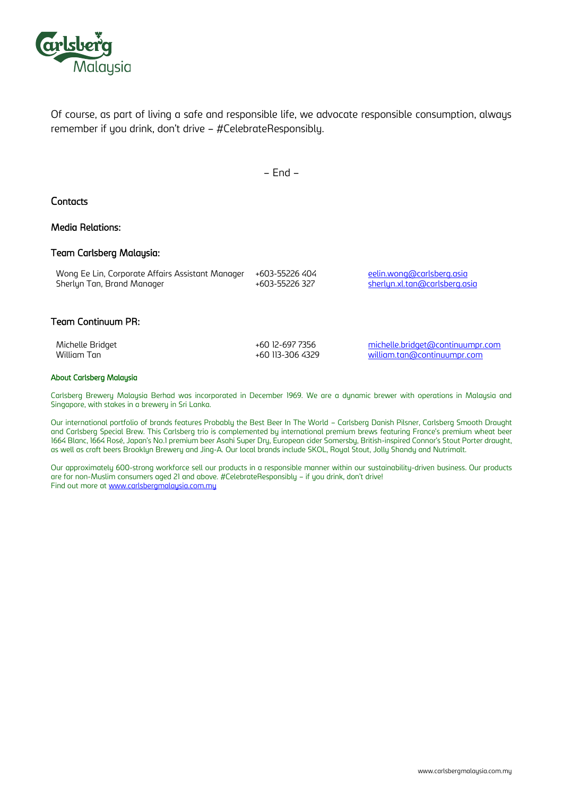

Of course, as part of living a safe and responsible life, we advocate responsible consumption, always remember if you drink, don't drive – #CelebrateResponsibly.

– End –

## **Contacts**

## Media Relations:

### Team Carlsberg Malaysia:

| Wong Ee Lin, Corporate Affairs Assistant Manager | +603-55226 404 | eelin.wong@carlsberg.asia     |
|--------------------------------------------------|----------------|-------------------------------|
| Sherlyn Tan, Brand Manager                       | +603-55226 327 | sherlyn.xl.tan@carlsberg.asia |
|                                                  |                |                               |

### Team Continuum PR:

Michelle Bridget **Archael Example 20 12-697 7356** [michelle.bridget@continuumpr.com](mailto:michelle.bridget@continuumpr.com) William Tan  $\overline{a}$  +60 113-306 4329 [william.tan@continuumpr.com](mailto:william.tan@continuumpr.com)

### About Carlsberg Malaysia

Carlsberg Brewery Malaysia Berhad was incorporated in December 1969. We are a dynamic brewer with operations in Malaysia and Singapore, with stakes in a brewery in Sri Lanka.

Our international portfolio of brands features Probably the Best Beer In The World – Carlsberg Danish Pilsner, Carlsberg Smooth Draught and Carlsberg Special Brew. This Carlsberg trio is complemented by international premium brews featuring France's premium wheat beer 1664 Blanc, 1664 Rosé, Japan's No.1 premium beer Asahi Super Dry, European cider Somersby, British-inspired Connor's Stout Porter draught, as well as craft beers Brooklyn Brewery and Jing-A. Our local brands include SKOL, Royal Stout, Jolly Shandy and Nutrimalt.

Our approximately 600-strong workforce sell our products in a responsible manner within our sustainability-driven business. Our products are for non-Muslim consumers aged 21 and above. #CelebrateResponsibly – if you drink, don't drive! Find out more at [www.carlsbergmalaysia.com.my](http://www.carlsbergmalaysia.com.my/)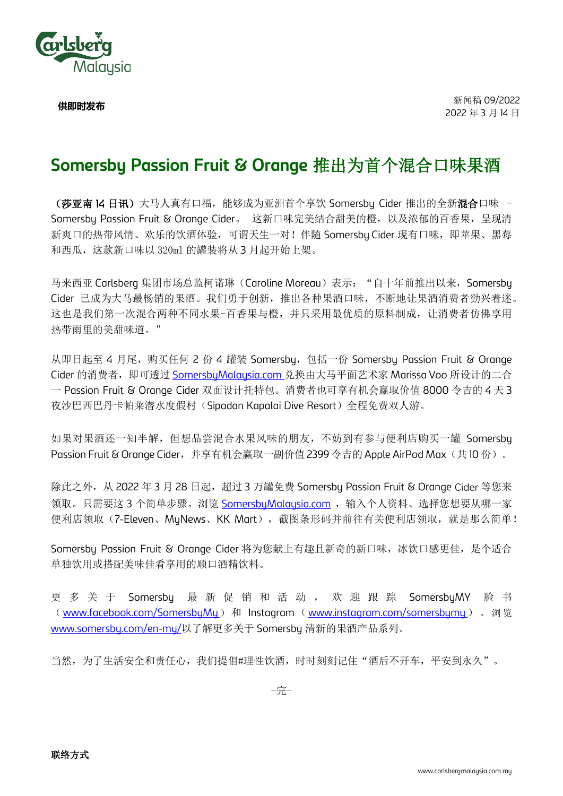

**供即时发布**

## **Somersby Passion Fruit & Orange** 推出为首个混合口味果酒

(莎亚南 14 日讯)大马人真有口福,能够成为亚洲首个享饮 Somersbu Cider 推出的全新混合口味 -Somersby Passion Fruit & Orange Cider。 这新口味完美结合甜美的橙,以及浓郁的百香果,呈现清 新爽口的热带风情、欢乐的饮酒体验,可谓天生一对!伴随 Somersby Cider 现有口味, 即苹果、黑莓 和西瓜,这款新口味以 320ml 的罐装将从 3 月起开始上架。

马来西亚 Carlsberg 集团市场总监柯诺琳(Caroline Moreau)表示: "自十年前推出以来, Somersby Cider 已成为大马最畅销的果酒。我们勇于创新,推出各种果酒口味,不断地让果酒消费者勁兴着迷。 这也是我们第一次混合两种不同水果-百香果与橙,并只采用最优质的原料制成,让消费者仿佛享用 热带雨里的美甜味道。"

从即日起至 4 月尾, 购买任何 2 份 4 罐装 Somersbu, 包括一份 Somersbu Passion Fruit & Orange Cider 的消费者, 即可透过 SomersbuMalausia.com 兑换由大马平面艺术家 Marissa Voo 所设计的二合 一 Passion Fruit & Orange Cider 双面设计托特包。消费者也可享有机会赢取价值 8000 令吉的 4 天 3 夜沙巴西巴丹卡帕莱潜水度假村(Sipadan Kapalai Dive Resort)全程免费双人游。

如果对果酒还一知半解,但想品尝混合水果风味的朋友,不妨到有参与便利店购买一罐 Somersby Passion Fruit & Orange Cider, 并享有机会赢取一副价值 2399 令吉的 Apple AirPod Max(共 10 份)。

除此之外, 从 2022 年 3 月 28 日起, 超过 3 万罐免费 Somersby Passion Fruit & Orange Cider 等您来 领取。只需要这 3 个简单步骤。浏览 [SomersbyMalaysia.com](https://somersbymalaysia.com/) ,输入个人资料、选择您想要从哪一家 便利店领取(7-Eleven、MuNews、KK Mart),截图条形码并前往有关便利店领取,就是那么简单!

Somersby Passion Fruit & Orange Cider 将为您献上有趣且新奇的新口味, 冰饮口感更佳, 是个适合 单独饮用或搭配美味佳肴享用的顺口酒精饮料。

更多关于 Somersbu 最新促销和活动, 欢迎跟踪 SomersbuMY 脸书 ([www.facebook.com/SomersbyMy](http://www.facebook.com/SomersbyMy)) 和 Instagram ([www.instagram.com/somersbymy](http://www.instagram.com/somersbymy)) 。浏览 [www.somersby.com/en-my/](http://www.somersby.com/en-my/)以了解更多关于 Somersby 清新的果酒产品系列。

当然,为了生活安全和责任心,我们提倡#理性饮酒,时时刻刻记住"酒后不开车,平安到永久"。

-完-